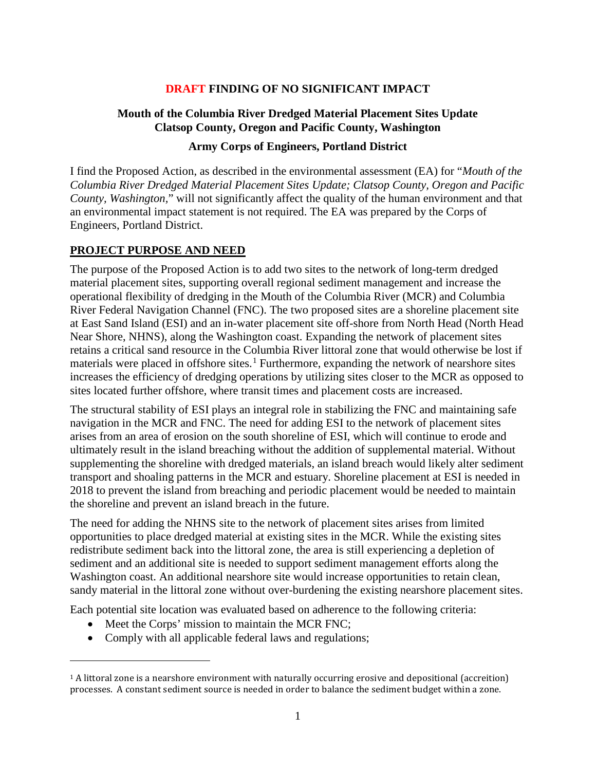### **DRAFT FINDING OF NO SIGNIFICANT IMPACT**

## **Mouth of the Columbia River Dredged Material Placement Sites Update Clatsop County, Oregon and Pacific County, Washington**

#### **Army Corps of Engineers, Portland District**

I find the Proposed Action, as described in the environmental assessment (EA) for "*Mouth of the Columbia River Dredged Material Placement Sites Update; Clatsop County, Oregon and Pacific County, Washington,*" will not significantly affect the quality of the human environment and that an environmental impact statement is not required. The EA was prepared by the Corps of Engineers, Portland District.

### **PROJECT PURPOSE AND NEED**

The purpose of the Proposed Action is to add two sites to the network of long-term dredged material placement sites, supporting overall regional sediment management and increase the operational flexibility of dredging in the Mouth of the Columbia River (MCR) and Columbia River Federal Navigation Channel (FNC). The two proposed sites are a shoreline placement site at East Sand Island (ESI) and an in-water placement site off-shore from North Head (North Head Near Shore, NHNS), along the Washington coast. Expanding the network of placement sites retains a critical sand resource in the Columbia River littoral zone that would otherwise be lost if materials were placed in offshore sites.<sup>[1](#page-0-0)</sup> Furthermore, expanding the network of nearshore sites increases the efficiency of dredging operations by utilizing sites closer to the MCR as opposed to sites located further offshore, where transit times and placement costs are increased.

The structural stability of ESI plays an integral role in stabilizing the FNC and maintaining safe navigation in the MCR and FNC. The need for adding ESI to the network of placement sites arises from an area of erosion on the south shoreline of ESI, which will continue to erode and ultimately result in the island breaching without the addition of supplemental material. Without supplementing the shoreline with dredged materials, an island breach would likely alter sediment transport and shoaling patterns in the MCR and estuary. Shoreline placement at ESI is needed in 2018 to prevent the island from breaching and periodic placement would be needed to maintain the shoreline and prevent an island breach in the future.

The need for adding the NHNS site to the network of placement sites arises from limited opportunities to place dredged material at existing sites in the MCR. While the existing sites redistribute sediment back into the littoral zone, the area is still experiencing a depletion of sediment and an additional site is needed to support sediment management efforts along the Washington coast. An additional nearshore site would increase opportunities to retain clean, sandy material in the littoral zone without over-burdening the existing nearshore placement sites.

Each potential site location was evaluated based on adherence to the following criteria:

• Meet the Corps' mission to maintain the MCR FNC;

 $\overline{a}$ 

• Comply with all applicable federal laws and regulations;

<span id="page-0-0"></span> $1A$  littoral zone is a nearshore environment with naturally occurring erosive and depositional (accreition) processes. A constant sediment source is needed in order to balance the sediment budget within a zone.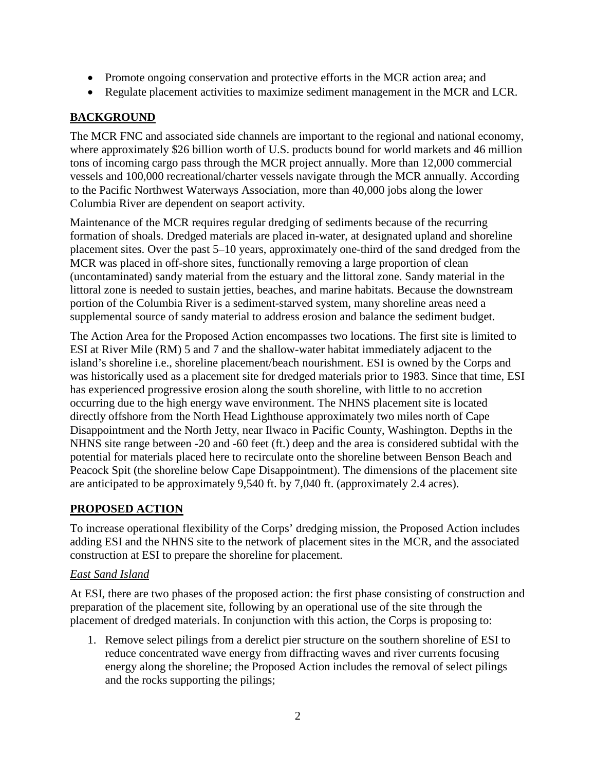- Promote ongoing conservation and protective efforts in the MCR action area; and
- Regulate placement activities to maximize sediment management in the MCR and LCR.

## **BACKGROUND**

The MCR FNC and associated side channels are important to the regional and national economy, where approximately \$26 billion worth of U.S. products bound for world markets and 46 million tons of incoming cargo pass through the MCR project annually. More than 12,000 commercial vessels and 100,000 recreational/charter vessels navigate through the MCR annually. According to the Pacific Northwest Waterways Association, more than 40,000 jobs along the lower Columbia River are dependent on seaport activity.

Maintenance of the MCR requires regular dredging of sediments because of the recurring formation of shoals. Dredged materials are placed in-water, at designated upland and shoreline placement sites. Over the past 5–10 years, approximately one-third of the sand dredged from the MCR was placed in off-shore sites, functionally removing a large proportion of clean (uncontaminated) sandy material from the estuary and the littoral zone. Sandy material in the littoral zone is needed to sustain jetties, beaches, and marine habitats. Because the downstream portion of the Columbia River is a sediment-starved system, many shoreline areas need a supplemental source of sandy material to address erosion and balance the sediment budget.

The Action Area for the Proposed Action encompasses two locations. The first site is limited to ESI at River Mile (RM) 5 and 7 and the shallow-water habitat immediately adjacent to the island's shoreline i.e., shoreline placement/beach nourishment. ESI is owned by the Corps and was historically used as a placement site for dredged materials prior to 1983. Since that time, ESI has experienced progressive erosion along the south shoreline, with little to no accretion occurring due to the high energy wave environment. The NHNS placement site is located directly offshore from the North Head Lighthouse approximately two miles north of Cape Disappointment and the North Jetty, near Ilwaco in Pacific County, Washington. Depths in the NHNS site range between -20 and -60 feet (ft.) deep and the area is considered subtidal with the potential for materials placed here to recirculate onto the shoreline between Benson Beach and Peacock Spit (the shoreline below Cape Disappointment). The dimensions of the placement site are anticipated to be approximately 9,540 ft. by 7,040 ft. (approximately 2.4 acres).

# **PROPOSED ACTION**

To increase operational flexibility of the Corps' dredging mission, the Proposed Action includes adding ESI and the NHNS site to the network of placement sites in the MCR, and the associated construction at ESI to prepare the shoreline for placement.

### *East Sand Island*

At ESI, there are two phases of the proposed action: the first phase consisting of construction and preparation of the placement site, following by an operational use of the site through the placement of dredged materials. In conjunction with this action, the Corps is proposing to:

1. Remove select pilings from a derelict pier structure on the southern shoreline of ESI to reduce concentrated wave energy from diffracting waves and river currents focusing energy along the shoreline; the Proposed Action includes the removal of select pilings and the rocks supporting the pilings;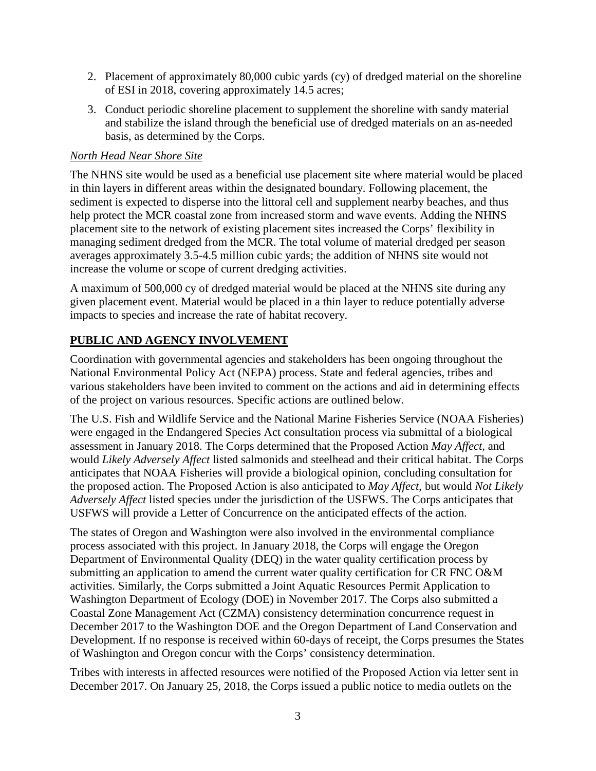- 2. Placement of approximately 80,000 cubic yards (cy) of dredged material on the shoreline of ESI in 2018, covering approximately 14.5 acres;
- 3. Conduct periodic shoreline placement to supplement the shoreline with sandy material and stabilize the island through the beneficial use of dredged materials on an as-needed basis, as determined by the Corps.

### *North Head Near Shore Site*

The NHNS site would be used as a beneficial use placement site where material would be placed in thin layers in different areas within the designated boundary. Following placement, the sediment is expected to disperse into the littoral cell and supplement nearby beaches, and thus help protect the MCR coastal zone from increased storm and wave events. Adding the NHNS placement site to the network of existing placement sites increased the Corps' flexibility in managing sediment dredged from the MCR. The total volume of material dredged per season averages approximately 3.5-4.5 million cubic yards; the addition of NHNS site would not increase the volume or scope of current dredging activities.

A maximum of 500,000 cy of dredged material would be placed at the NHNS site during any given placement event. Material would be placed in a thin layer to reduce potentially adverse impacts to species and increase the rate of habitat recovery.

## **PUBLIC AND AGENCY INVOLVEMENT**

Coordination with governmental agencies and stakeholders has been ongoing throughout the National Environmental Policy Act (NEPA) process. State and federal agencies, tribes and various stakeholders have been invited to comment on the actions and aid in determining effects of the project on various resources. Specific actions are outlined below.

The U.S. Fish and Wildlife Service and the National Marine Fisheries Service (NOAA Fisheries) were engaged in the Endangered Species Act consultation process via submittal of a biological assessment in January 2018. The Corps determined that the Proposed Action *May Affect*, and would *Likely Adversely Affect* listed salmonids and steelhead and their critical habitat. The Corps anticipates that NOAA Fisheries will provide a biological opinion, concluding consultation for the proposed action. The Proposed Action is also anticipated to *May Affect*, but would *Not Likely Adversely Affect* listed species under the jurisdiction of the USFWS. The Corps anticipates that USFWS will provide a Letter of Concurrence on the anticipated effects of the action.

The states of Oregon and Washington were also involved in the environmental compliance process associated with this project. In January 2018, the Corps will engage the Oregon Department of Environmental Quality (DEQ) in the water quality certification process by submitting an application to amend the current water quality certification for CR FNC O&M activities. Similarly, the Corps submitted a Joint Aquatic Resources Permit Application to Washington Department of Ecology (DOE) in November 2017. The Corps also submitted a Coastal Zone Management Act (CZMA) consistency determination concurrence request in December 2017 to the Washington DOE and the Oregon Department of Land Conservation and Development. If no response is received within 60-days of receipt, the Corps presumes the States of Washington and Oregon concur with the Corps' consistency determination.

Tribes with interests in affected resources were notified of the Proposed Action via letter sent in December 2017. On January 25, 2018, the Corps issued a public notice to media outlets on the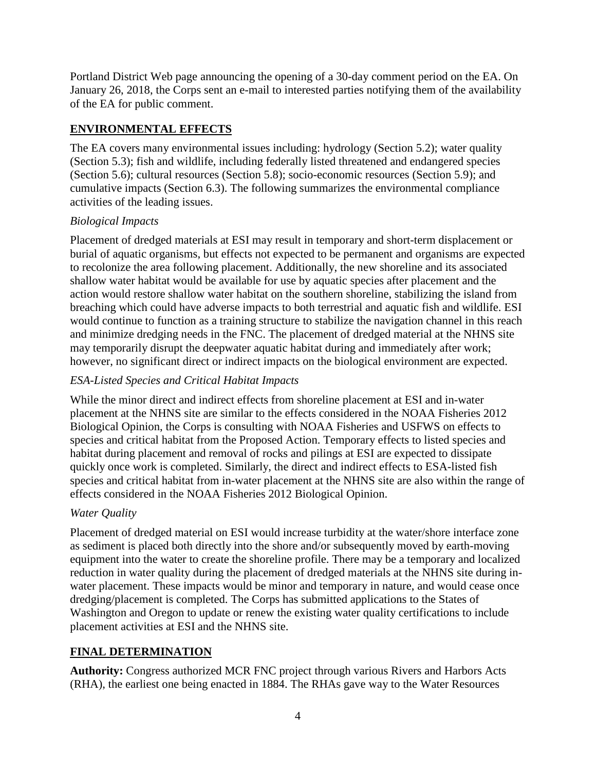Portland District Web page announcing the opening of a 30-day comment period on the EA. On January 26, 2018, the Corps sent an e-mail to interested parties notifying them of the availability of the EA for public comment.

## **ENVIRONMENTAL EFFECTS**

The EA covers many environmental issues including: hydrology (Section 5.2); water quality (Section 5.3); fish and wildlife, including federally listed threatened and endangered species (Section 5.6); cultural resources (Section 5.8); socio-economic resources (Section 5.9); and cumulative impacts (Section 6.3). The following summarizes the environmental compliance activities of the leading issues.

## *Biological Impacts*

Placement of dredged materials at ESI may result in temporary and short-term displacement or burial of aquatic organisms, but effects not expected to be permanent and organisms are expected to recolonize the area following placement. Additionally, the new shoreline and its associated shallow water habitat would be available for use by aquatic species after placement and the action would restore shallow water habitat on the southern shoreline, stabilizing the island from breaching which could have adverse impacts to both terrestrial and aquatic fish and wildlife. ESI would continue to function as a training structure to stabilize the navigation channel in this reach and minimize dredging needs in the FNC. The placement of dredged material at the NHNS site may temporarily disrupt the deepwater aquatic habitat during and immediately after work; however, no significant direct or indirect impacts on the biological environment are expected.

## *ESA-Listed Species and Critical Habitat Impacts*

While the minor direct and indirect effects from shoreline placement at ESI and in-water placement at the NHNS site are similar to the effects considered in the NOAA Fisheries 2012 Biological Opinion, the Corps is consulting with NOAA Fisheries and USFWS on effects to species and critical habitat from the Proposed Action. Temporary effects to listed species and habitat during placement and removal of rocks and pilings at ESI are expected to dissipate quickly once work is completed. Similarly, the direct and indirect effects to ESA-listed fish species and critical habitat from in-water placement at the NHNS site are also within the range of effects considered in the NOAA Fisheries 2012 Biological Opinion.

### *Water Quality*

Placement of dredged material on ESI would increase turbidity at the water/shore interface zone as sediment is placed both directly into the shore and/or subsequently moved by earth-moving equipment into the water to create the shoreline profile. There may be a temporary and localized reduction in water quality during the placement of dredged materials at the NHNS site during inwater placement. These impacts would be minor and temporary in nature, and would cease once dredging/placement is completed. The Corps has submitted applications to the States of Washington and Oregon to update or renew the existing water quality certifications to include placement activities at ESI and the NHNS site.

## **FINAL DETERMINATION**

**Authority:** Congress authorized MCR FNC project through various Rivers and Harbors Acts (RHA), the earliest one being enacted in 1884. The RHAs gave way to the Water Resources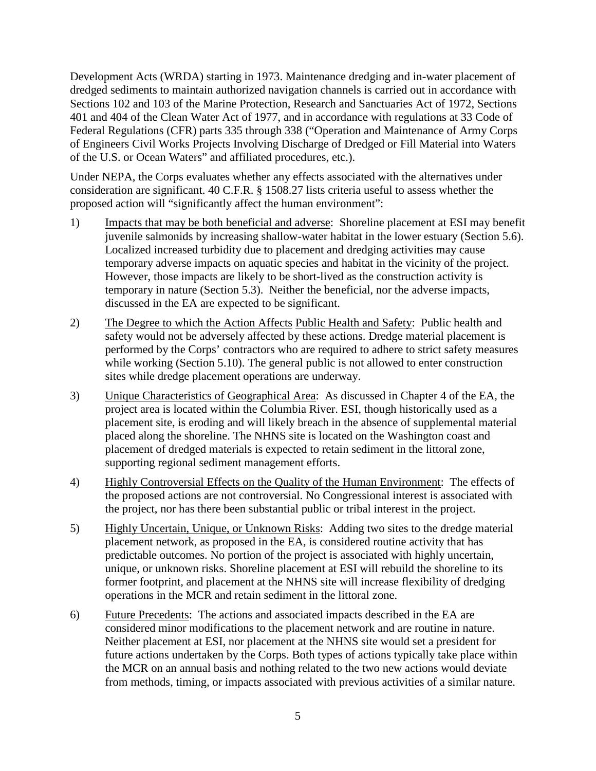Development Acts (WRDA) starting in 1973. Maintenance dredging and in-water placement of dredged sediments to maintain authorized navigation channels is carried out in accordance with Sections 102 and 103 of the Marine Protection, Research and Sanctuaries Act of 1972, Sections 401 and 404 of the Clean Water Act of 1977, and in accordance with regulations at 33 Code of Federal Regulations (CFR) parts 335 through 338 ("Operation and Maintenance of Army Corps of Engineers Civil Works Projects Involving Discharge of Dredged or Fill Material into Waters of the U.S. or Ocean Waters" and affiliated procedures, etc.).

Under NEPA, the Corps evaluates whether any effects associated with the alternatives under consideration are significant. 40 C.F.R. § 1508.27 lists criteria useful to assess whether the proposed action will "significantly affect the human environment":

- 1) Impacts that may be both beneficial and adverse: Shoreline placement at ESI may benefit juvenile salmonids by increasing shallow-water habitat in the lower estuary (Section 5.6). Localized increased turbidity due to placement and dredging activities may cause temporary adverse impacts on aquatic species and habitat in the vicinity of the project. However, those impacts are likely to be short-lived as the construction activity is temporary in nature (Section 5.3). Neither the beneficial, nor the adverse impacts, discussed in the EA are expected to be significant.
- 2) The Degree to which the Action Affects Public Health and Safety: Public health and safety would not be adversely affected by these actions. Dredge material placement is performed by the Corps' contractors who are required to adhere to strict safety measures while working (Section 5.10). The general public is not allowed to enter construction sites while dredge placement operations are underway.
- 3) Unique Characteristics of Geographical Area: As discussed in Chapter 4 of the EA, the project area is located within the Columbia River. ESI, though historically used as a placement site, is eroding and will likely breach in the absence of supplemental material placed along the shoreline. The NHNS site is located on the Washington coast and placement of dredged materials is expected to retain sediment in the littoral zone, supporting regional sediment management efforts.
- 4) Highly Controversial Effects on the Quality of the Human Environment: The effects of the proposed actions are not controversial. No Congressional interest is associated with the project, nor has there been substantial public or tribal interest in the project.
- 5) Highly Uncertain, Unique, or Unknown Risks: Adding two sites to the dredge material placement network, as proposed in the EA, is considered routine activity that has predictable outcomes. No portion of the project is associated with highly uncertain, unique, or unknown risks. Shoreline placement at ESI will rebuild the shoreline to its former footprint, and placement at the NHNS site will increase flexibility of dredging operations in the MCR and retain sediment in the littoral zone.
- 6) Future Precedents: The actions and associated impacts described in the EA are considered minor modifications to the placement network and are routine in nature. Neither placement at ESI, nor placement at the NHNS site would set a president for future actions undertaken by the Corps. Both types of actions typically take place within the MCR on an annual basis and nothing related to the two new actions would deviate from methods, timing, or impacts associated with previous activities of a similar nature.